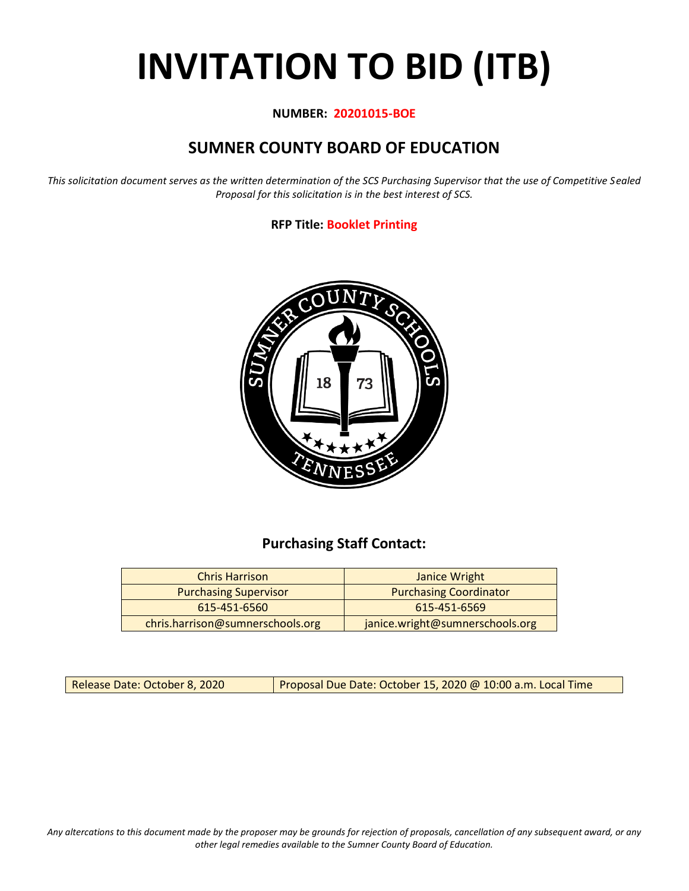# **INVITATION TO BID (ITB)**

## **NUMBER: 20201015-BOE**

# **SUMNER COUNTY BOARD OF EDUCATION**

*This solicitation document serves as the written determination of the SCS Purchasing Supervisor that the use of Competitive Sealed Proposal for this solicitation is in the best interest of SCS.*

## **RFP Title: Booklet Printing**



# **Purchasing Staff Contact:**

| <b>Chris Harrison</b>            | Janice Wright                   |
|----------------------------------|---------------------------------|
| <b>Purchasing Supervisor</b>     | <b>Purchasing Coordinator</b>   |
| 615-451-6560                     | 615-451-6569                    |
| chris.harrison@sumnerschools.org | janice.wright@sumnerschools.org |

Release Date: October 8, 2020 | Proposal Due Date: October 15, 2020 @ 10:00 a.m. Local Time

*Any altercations to this document made by the proposer may be grounds for rejection of proposals, cancellation of any subsequent award, or any other legal remedies available to the Sumner County Board of Education.*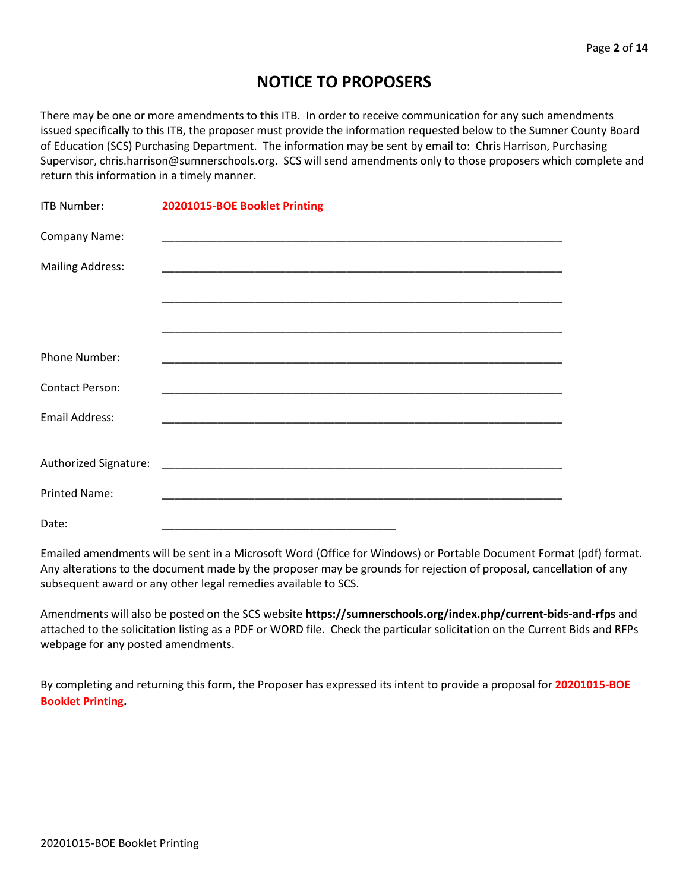# **NOTICE TO PROPOSERS**

There may be one or more amendments to this ITB. In order to receive communication for any such amendments issued specifically to this ITB, the proposer must provide the information requested below to the Sumner County Board of Education (SCS) Purchasing Department. The information may be sent by email to: Chris Harrison, Purchasing Supervisor, chris.harrison@sumnerschools.org. SCS will send amendments only to those proposers which complete and return this information in a timely manner.

| ITB Number:             | 20201015-BOE Booklet Printing |
|-------------------------|-------------------------------|
| Company Name:           |                               |
| <b>Mailing Address:</b> |                               |
|                         |                               |
|                         |                               |
| <b>Phone Number:</b>    |                               |
| <b>Contact Person:</b>  |                               |
| <b>Email Address:</b>   |                               |
|                         |                               |
|                         |                               |
| <b>Printed Name:</b>    |                               |
| Date:                   |                               |

Emailed amendments will be sent in a Microsoft Word (Office for Windows) or Portable Document Format (pdf) format. Any alterations to the document made by the proposer may be grounds for rejection of proposal, cancellation of any subsequent award or any other legal remedies available to SCS.

Amendments will also be posted on the SCS website **https://sumnerschools.org/index.php/current-bids-and-rfps** and attached to the solicitation listing as a PDF or WORD file. Check the particular solicitation on the Current Bids and RFPs webpage for any posted amendments.

By completing and returning this form, the Proposer has expressed its intent to provide a proposal for **20201015-BOE Booklet Printing.**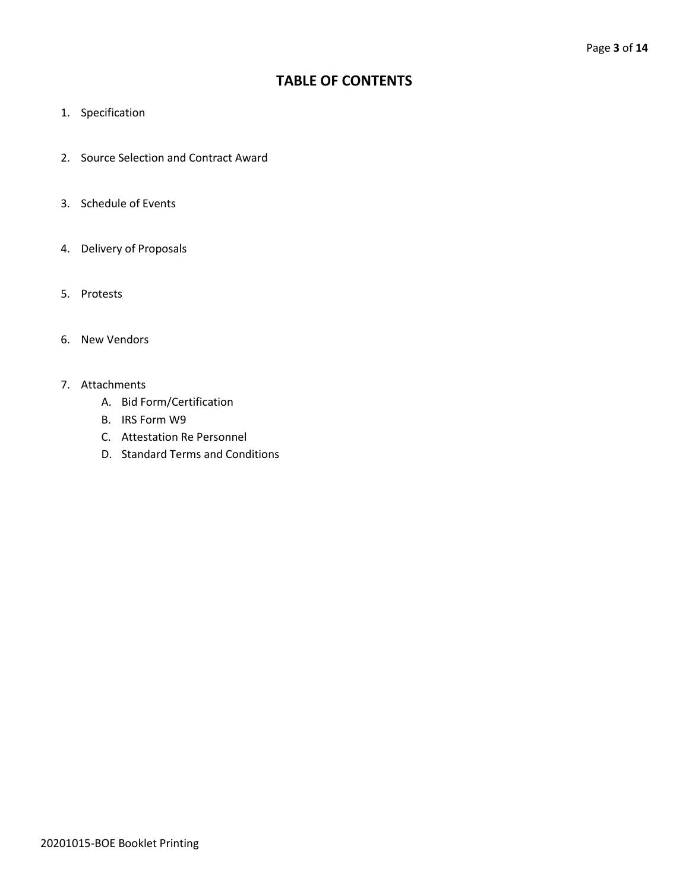## **TABLE OF CONTENTS**

- 1. Specification
- 2. Source Selection and Contract Award
- 3. Schedule of Events
- 4. Delivery of Proposals
- 5. Protests
- 6. New Vendors
- 7. Attachments
	- A. Bid Form/Certification
	- B. IRS Form W9
	- C. Attestation Re Personnel
	- D. Standard Terms and Conditions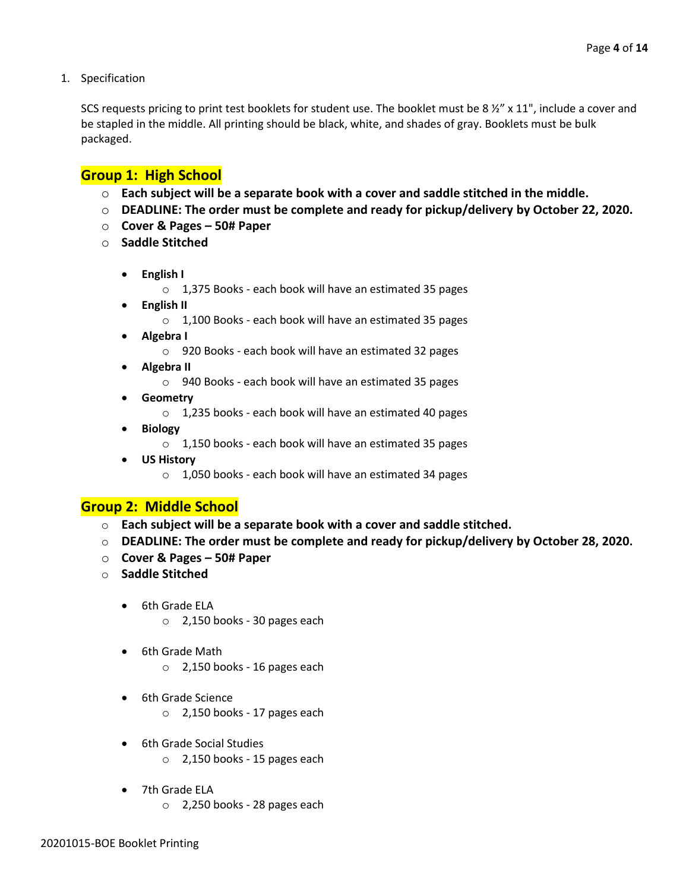1. Specification

SCS requests pricing to print test booklets for student use. The booklet must be 8  $\frac{1}{2}$  x 11", include a cover and be stapled in the middle. All printing should be black, white, and shades of gray. Booklets must be bulk packaged.

## **Group 1: High School**

- o **Each subject will be a separate book with a cover and saddle stitched in the middle.**
- o **DEADLINE: The order must be complete and ready for pickup/delivery by October 22, 2020.**
- o **Cover & Pages – 50# Paper**
- o **Saddle Stitched**
	- **English I**
		- o 1,375 Books each book will have an estimated 35 pages
	- **English II**
		- o 1,100 Books each book will have an estimated 35 pages
	- **Algebra I**
		- o 920 Books each book will have an estimated 32 pages
	- **Algebra II**
		- o 940 Books each book will have an estimated 35 pages
	- **Geometry**
		- o 1,235 books each book will have an estimated 40 pages
	- **Biology**
		- o 1,150 books each book will have an estimated 35 pages
	- **US History**
		- $\circ$  1,050 books each book will have an estimated 34 pages

#### **Group 2: Middle School**

- o **Each subject will be a separate book with a cover and saddle stitched.**
- o **DEADLINE: The order must be complete and ready for pickup/delivery by October 28, 2020.**
- o **Cover & Pages – 50# Paper**
- o **Saddle Stitched**
	- 6th Grade ELA
		- o 2,150 books 30 pages each
	- 6th Grade Math
		- o 2,150 books 16 pages each
	- 6th Grade Science
		- $\circ$  2,150 books 17 pages each
	- 6th Grade Social Studies  $\circ$  2,150 books - 15 pages each
	- 7th Grade ELA
		- o 2,250 books 28 pages each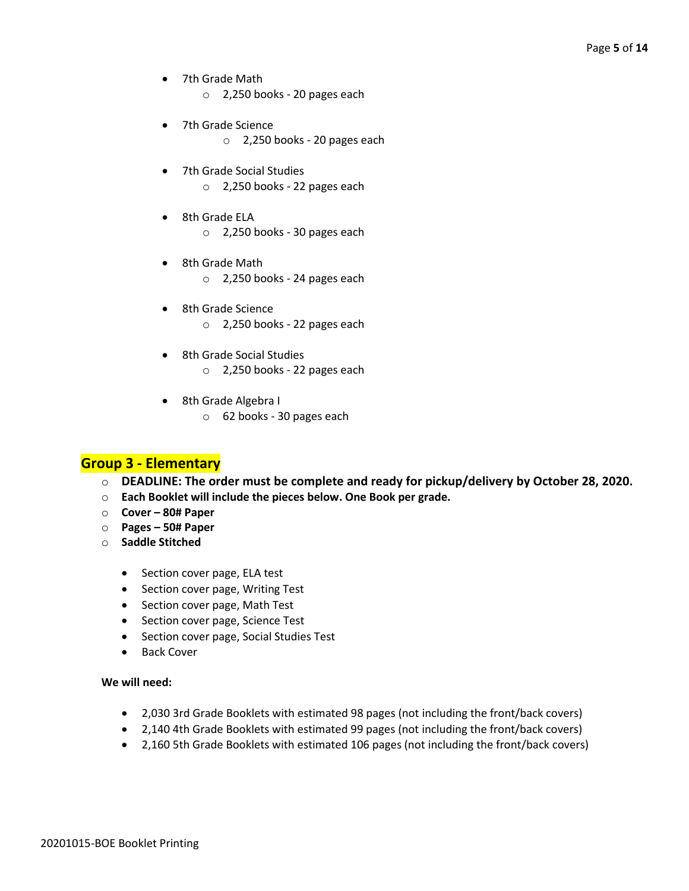- 7th Grade Math
	- o 2,250 books 20 pages each
- 7th Grade Science
	- o 2,250 books 20 pages each
- 7th Grade Social Studies o 2,250 books - 22 pages each
- 8th Grade ELA
	- o 2,250 books 30 pages each
- 8th Grade Math o 2,250 books - 24 pages each
- 8th Grade Science
	- o 2,250 books 22 pages each
- 8th Grade Social Studies o 2,250 books - 22 pages each
- 8th Grade Algebra I
	- o 62 books 30 pages each

## **Group 3 - Elementary**

- o **DEADLINE: The order must be complete and ready for pickup/delivery by October 28, 2020.**
- o **Each Booklet will include the pieces below. One Book per grade.**
- o **Cover – 80# Paper**
- o **Pages – 50# Paper**
- o **Saddle Stitched**
	- Section cover page, ELA test
	- Section cover page, Writing Test
	- Section cover page, Math Test
	- Section cover page, Science Test
	- Section cover page, Social Studies Test
	- Back Cover

#### **We will need:**

- 2,030 3rd Grade Booklets with estimated 98 pages (not including the front/back covers)
- 2,140 4th Grade Booklets with estimated 99 pages (not including the front/back covers)
- 2,160 5th Grade Booklets with estimated 106 pages (not including the front/back covers)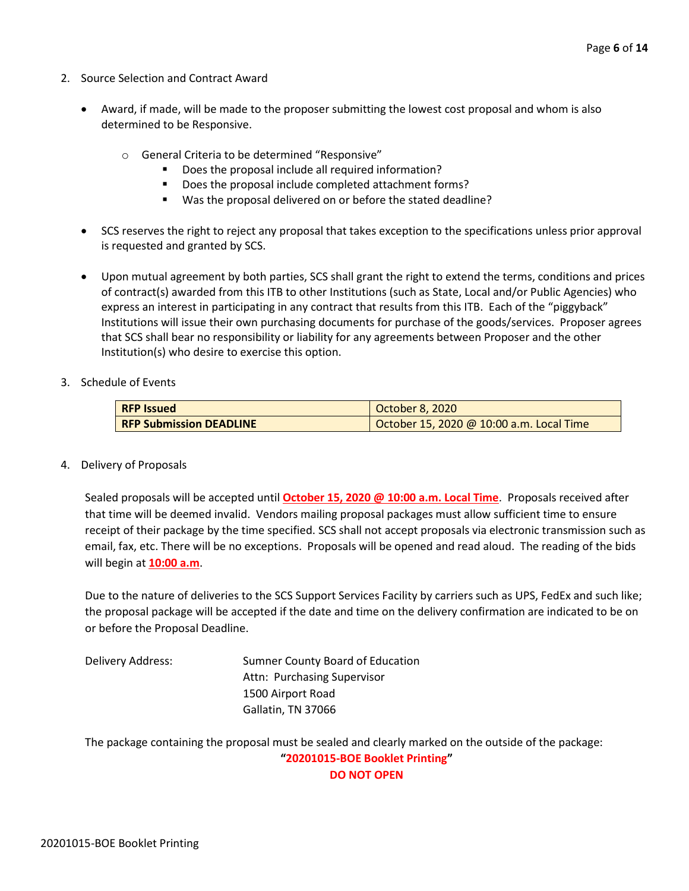- 2. Source Selection and Contract Award
	- Award, if made, will be made to the proposer submitting the lowest cost proposal and whom is also determined to be Responsive.
		- o General Criteria to be determined "Responsive"
			- Does the proposal include all required information?
			- Does the proposal include completed attachment forms?
			- Was the proposal delivered on or before the stated deadline?
	- SCS reserves the right to reject any proposal that takes exception to the specifications unless prior approval is requested and granted by SCS.
	- Upon mutual agreement by both parties, SCS shall grant the right to extend the terms, conditions and prices of contract(s) awarded from this ITB to other Institutions (such as State, Local and/or Public Agencies) who express an interest in participating in any contract that results from this ITB. Each of the "piggyback" Institutions will issue their own purchasing documents for purchase of the goods/services. Proposer agrees that SCS shall bear no responsibility or liability for any agreements between Proposer and the other Institution(s) who desire to exercise this option.
- 3. Schedule of Events

| <b>RFP Issued</b>              | October 8, 2020                          |
|--------------------------------|------------------------------------------|
| <b>RFP Submission DEADLINE</b> | October 15, 2020 @ 10:00 a.m. Local Time |

#### 4. Delivery of Proposals

Sealed proposals will be accepted until **October 15, 2020 @ 10:00 a.m. Local Time**. Proposals received after that time will be deemed invalid. Vendors mailing proposal packages must allow sufficient time to ensure receipt of their package by the time specified. SCS shall not accept proposals via electronic transmission such as email, fax, etc. There will be no exceptions. Proposals will be opened and read aloud. The reading of the bids will begin at **10:00 a.m**.

Due to the nature of deliveries to the SCS Support Services Facility by carriers such as UPS, FedEx and such like; the proposal package will be accepted if the date and time on the delivery confirmation are indicated to be on or before the Proposal Deadline.

Delivery Address: Sumner County Board of Education Attn: Purchasing Supervisor 1500 Airport Road Gallatin, TN 37066

The package containing the proposal must be sealed and clearly marked on the outside of the package:

**"20201015-BOE Booklet Printing" DO NOT OPEN**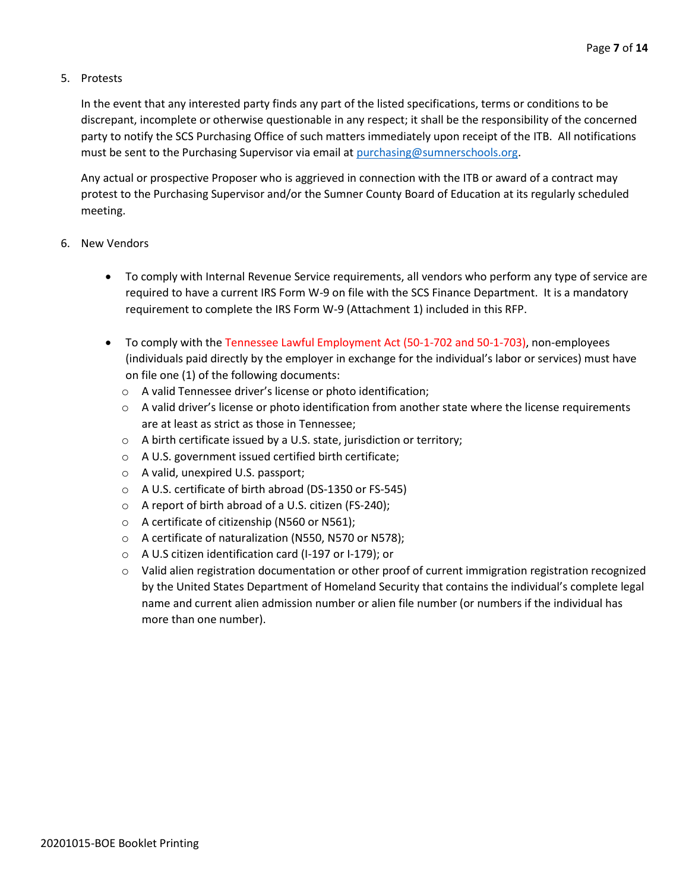#### 5. Protests

In the event that any interested party finds any part of the listed specifications, terms or conditions to be discrepant, incomplete or otherwise questionable in any respect; it shall be the responsibility of the concerned party to notify the SCS Purchasing Office of such matters immediately upon receipt of the ITB. All notifications must be sent to the Purchasing Supervisor via email at [purchasing@sumnerschools.org.](mailto:purchasing@sumnerschools.org)

Any actual or prospective Proposer who is aggrieved in connection with the ITB or award of a contract may protest to the Purchasing Supervisor and/or the Sumner County Board of Education at its regularly scheduled meeting.

#### 6. New Vendors

- To comply with Internal Revenue Service requirements, all vendors who perform any type of service are required to have a current IRS Form W-9 on file with the SCS Finance Department. It is a mandatory requirement to complete the IRS Form W-9 (Attachment 1) included in this RFP.
- To comply with the Tennessee Lawful Employment Act (50-1-702 and 50-1-703), non-employees (individuals paid directly by the employer in exchange for the individual's labor or services) must have on file one (1) of the following documents:
	- o A valid Tennessee driver's license or photo identification;
	- $\circ$  A valid driver's license or photo identification from another state where the license requirements are at least as strict as those in Tennessee;
	- o A birth certificate issued by a U.S. state, jurisdiction or territory;
	- o A U.S. government issued certified birth certificate;
	- o A valid, unexpired U.S. passport;
	- o A U.S. certificate of birth abroad (DS-1350 or FS-545)
	- o A report of birth abroad of a U.S. citizen (FS-240);
	- o A certificate of citizenship (N560 or N561);
	- o A certificate of naturalization (N550, N570 or N578);
	- o A U.S citizen identification card (I-197 or I-179); or
	- $\circ$  Valid alien registration documentation or other proof of current immigration registration recognized by the United States Department of Homeland Security that contains the individual's complete legal name and current alien admission number or alien file number (or numbers if the individual has more than one number).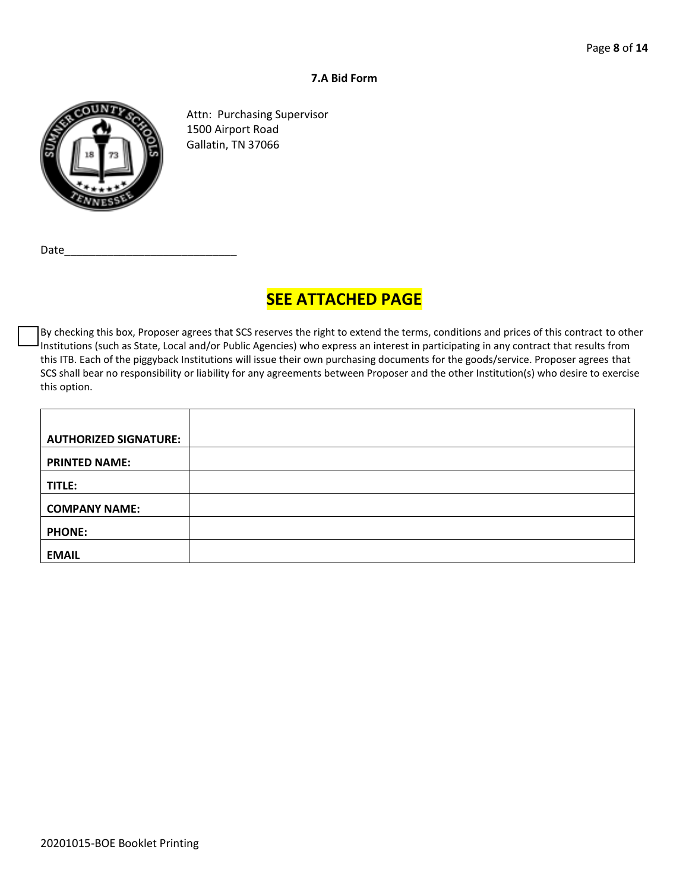#### **7.A Bid Form**



Attn: Purchasing Supervisor 1500 Airport Road Gallatin, TN 37066

# **SEE ATTACHED PAGE**

By checking this box, Proposer agrees that SCS reserves the right to extend the terms, conditions and prices of this contract to other Institutions (such as State, Local and/or Public Agencies) who express an interest in participating in any contract that results from this ITB. Each of the piggyback Institutions will issue their own purchasing documents for the goods/service. Proposer agrees that SCS shall bear no responsibility or liability for any agreements between Proposer and the other Institution(s) who desire to exercise this option.

| <b>AUTHORIZED SIGNATURE:</b> |  |
|------------------------------|--|
| <b>PRINTED NAME:</b>         |  |
| TITLE:                       |  |
| <b>COMPANY NAME:</b>         |  |
| <b>PHONE:</b>                |  |
| <b>EMAIL</b>                 |  |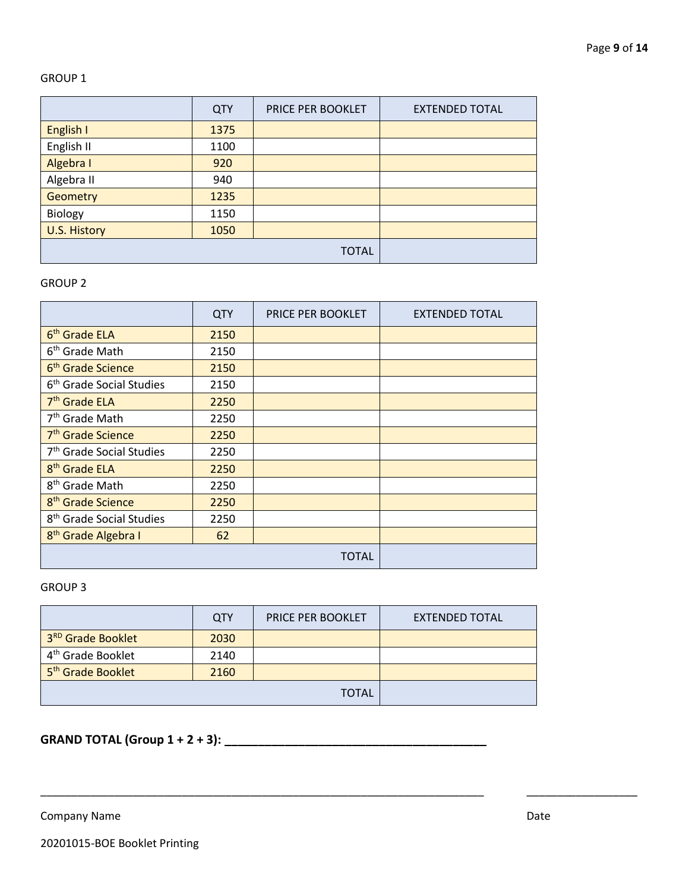#### GROUP 1

|                     | <b>QTY</b>   | PRICE PER BOOKLET | <b>EXTENDED TOTAL</b> |  |  |
|---------------------|--------------|-------------------|-----------------------|--|--|
| English I           | 1375         |                   |                       |  |  |
| English II          | 1100         |                   |                       |  |  |
| Algebra I           | 920          |                   |                       |  |  |
| Algebra II          | 940          |                   |                       |  |  |
| <b>Geometry</b>     | 1235         |                   |                       |  |  |
| Biology             | 1150         |                   |                       |  |  |
| <b>U.S. History</b> | 1050         |                   |                       |  |  |
|                     | <b>TOTAL</b> |                   |                       |  |  |

#### GROUP 2

|                                      | QTY  | PRICE PER BOOKLET | <b>EXTENDED TOTAL</b> |
|--------------------------------------|------|-------------------|-----------------------|
| 6 <sup>th</sup> Grade ELA            | 2150 |                   |                       |
| 6 <sup>th</sup> Grade Math           | 2150 |                   |                       |
| 6 <sup>th</sup> Grade Science        | 2150 |                   |                       |
| 6 <sup>th</sup> Grade Social Studies | 2150 |                   |                       |
| 7 <sup>th</sup> Grade ELA            | 2250 |                   |                       |
| 7 <sup>th</sup> Grade Math           | 2250 |                   |                       |
| 7 <sup>th</sup> Grade Science        | 2250 |                   |                       |
| 7 <sup>th</sup> Grade Social Studies | 2250 |                   |                       |
| 8 <sup>th</sup> Grade ELA            | 2250 |                   |                       |
| 8 <sup>th</sup> Grade Math           | 2250 |                   |                       |
| 8 <sup>th</sup> Grade Science        | 2250 |                   |                       |
| 8 <sup>th</sup> Grade Social Studies | 2250 |                   |                       |
| 8 <sup>th</sup> Grade Algebra I      | 62   |                   |                       |
|                                      |      | TOTAL             |                       |

#### GROUP 3

|                               | <b>QTY</b> | PRICE PER BOOKLET | <b>EXTENDED TOTAL</b> |
|-------------------------------|------------|-------------------|-----------------------|
| 3RD Grade Booklet             | 2030       |                   |                       |
| 4 <sup>th</sup> Grade Booklet | 2140       |                   |                       |
| 5 <sup>th</sup> Grade Booklet | 2160       |                   |                       |
|                               |            | <b>TOTAL</b>      |                       |

\_\_\_\_\_\_\_\_\_\_\_\_\_\_\_\_\_\_\_\_\_\_\_\_\_\_\_\_\_\_\_\_\_\_\_\_\_\_\_\_\_\_\_\_\_\_\_\_\_\_\_\_\_\_\_\_\_\_\_\_\_\_\_\_\_\_\_\_\_\_\_\_ \_\_\_\_\_\_\_\_\_\_\_\_\_\_\_\_\_\_

# **GRAND TOTAL (Group 1 + 2 + 3): \_\_\_\_\_\_\_\_\_\_\_\_\_\_\_\_\_\_\_\_\_\_\_\_\_\_\_\_\_\_\_\_\_\_\_\_\_\_\_**

Company Name Date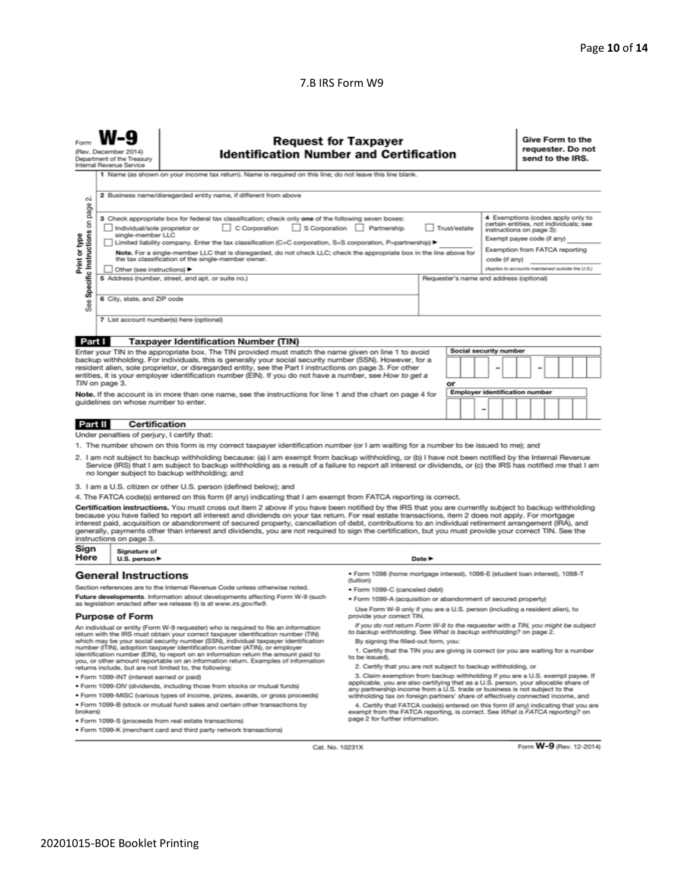#### 7.B IRS Form W9

|                                                                                                                                                                                                                                                                                                                                                                                                                                                                                                                                                                                                                                                                                                                                                                                                                           | <b>Request for Taxpayer</b><br><b>Identification Number and Certification</b><br>(Rev. December 2014)<br>Department of the Treasury<br>Internal Revenue Service<br>1 Name (as shown on your income tax return). Name is required on this line; do not leave this line blank. |                                                                               |                                                                                                                                                                     |                                                                             |                                                                                                                                                                    |  |  |  | Give Form to the<br>requester. Do not<br>send to the IRS. |  |  |  |  |
|---------------------------------------------------------------------------------------------------------------------------------------------------------------------------------------------------------------------------------------------------------------------------------------------------------------------------------------------------------------------------------------------------------------------------------------------------------------------------------------------------------------------------------------------------------------------------------------------------------------------------------------------------------------------------------------------------------------------------------------------------------------------------------------------------------------------------|------------------------------------------------------------------------------------------------------------------------------------------------------------------------------------------------------------------------------------------------------------------------------|-------------------------------------------------------------------------------|---------------------------------------------------------------------------------------------------------------------------------------------------------------------|-----------------------------------------------------------------------------|--------------------------------------------------------------------------------------------------------------------------------------------------------------------|--|--|--|-----------------------------------------------------------|--|--|--|--|
| οi                                                                                                                                                                                                                                                                                                                                                                                                                                                                                                                                                                                                                                                                                                                                                                                                                        |                                                                                                                                                                                                                                                                              | 2 Business name/disregarded entity name, if different from above              |                                                                                                                                                                     |                                                                             |                                                                                                                                                                    |  |  |  |                                                           |  |  |  |  |
| page<br>3 Check appropriate box for federal tax classification; check only one of the following seven boxes:<br>Specific Instructions on<br>S Corporation Partnership<br>Individual/sole proprietor or<br>C Corporation<br>Trust/estate<br>instructions on page 3):<br>single-member LLC<br>Print or type<br>Exempt payee code (if any)<br>Limited liability company. Enter the tax classification (C=C corporation, S=S corporation, P=partnership) ▶<br>Note. For a single-member LLC that is disregarded, do not check LLC; check the appropriate box in the line above for<br>the tax classification of the single-member owner.<br>code (if any)<br>Other (see instructions) ▶<br>5 Address (number, street, and apt. or suite no.)<br>Requester's name and address (optional)<br>6 City, state, and ZIP code<br>See |                                                                                                                                                                                                                                                                              |                                                                               |                                                                                                                                                                     |                                                                             | 4 Exemptions (codes apply only to<br>certain entities, not individuals; see<br>Exemption from FATCA reporting<br>(Applies to accounts maintained outside the U.S.) |  |  |  |                                                           |  |  |  |  |
|                                                                                                                                                                                                                                                                                                                                                                                                                                                                                                                                                                                                                                                                                                                                                                                                                           |                                                                                                                                                                                                                                                                              | 7 List account number(s) here (optional)                                      |                                                                                                                                                                     |                                                                             |                                                                                                                                                                    |  |  |  |                                                           |  |  |  |  |
| Part I                                                                                                                                                                                                                                                                                                                                                                                                                                                                                                                                                                                                                                                                                                                                                                                                                    |                                                                                                                                                                                                                                                                              | <b>Taxpayer Identification Number (TIN)</b>                                   |                                                                                                                                                                     |                                                                             |                                                                                                                                                                    |  |  |  |                                                           |  |  |  |  |
| Social security number<br>Enter your TIN in the appropriate box. The TIN provided must match the name given on line 1 to avoid<br>backup withholding. For individuals, this is generally your social security number (SSN). However, for a<br>resident alien, sole proprietor, or disregarded entity, see the Part I instructions on page 3. For other<br>entities, it is your employer identification number (EIN). If you do not have a number, see How to get a<br>TIN on page 3.<br>or<br><b>Employer identification number</b><br>Note. If the account is in more than one name, see the instructions for line 1 and the chart on page 4 for<br>guidelines on whose number to enter.                                                                                                                                 |                                                                                                                                                                                                                                                                              |                                                                               |                                                                                                                                                                     |                                                                             |                                                                                                                                                                    |  |  |  |                                                           |  |  |  |  |
| Part II                                                                                                                                                                                                                                                                                                                                                                                                                                                                                                                                                                                                                                                                                                                                                                                                                   | <b>Certification</b>                                                                                                                                                                                                                                                         |                                                                               |                                                                                                                                                                     |                                                                             |                                                                                                                                                                    |  |  |  |                                                           |  |  |  |  |
|                                                                                                                                                                                                                                                                                                                                                                                                                                                                                                                                                                                                                                                                                                                                                                                                                           | Under penalties of perjury, I certify that:                                                                                                                                                                                                                                  |                                                                               |                                                                                                                                                                     |                                                                             |                                                                                                                                                                    |  |  |  |                                                           |  |  |  |  |
| 1. The number shown on this form is my correct taxpayer identification number (or I am waiting for a number to be issued to me); and<br>2. I am not subject to backup withholding because: (a) I am exempt from backup withholding, or (b) I have not been notified by the Internal Revenue<br>Service (IRS) that I am subject to backup withholding as a result of a failure to report all interest or dividends, or (c) the IRS has notified me that I am<br>no longer subject to backup withholding; and                                                                                                                                                                                                                                                                                                               |                                                                                                                                                                                                                                                                              |                                                                               |                                                                                                                                                                     |                                                                             |                                                                                                                                                                    |  |  |  |                                                           |  |  |  |  |
|                                                                                                                                                                                                                                                                                                                                                                                                                                                                                                                                                                                                                                                                                                                                                                                                                           |                                                                                                                                                                                                                                                                              | 3. I am a U.S. citizen or other U.S. person (defined below); and              |                                                                                                                                                                     |                                                                             |                                                                                                                                                                    |  |  |  |                                                           |  |  |  |  |
| 4. The FATCA code(s) entered on this form (if any) indicating that I am exempt from FATCA reporting is correct.<br>Certification instructions. You must cross out item 2 above if you have been notified by the IRS that you are currently subject to backup withholding<br>because you have failed to report all interest and dividends on your tax return. For real estate transactions, item 2 does not apply. For mortgage<br>interest paid, acquisition or abandonment of secured property, cancellation of debt, contributions to an individual retirement arrangement (IRA), and<br>generally, payments other than interest and dividends, you are not required to sign the certification, but you must provide your correct TIN. See the<br>instructions on page 3.                                               |                                                                                                                                                                                                                                                                              |                                                                               |                                                                                                                                                                     |                                                                             |                                                                                                                                                                    |  |  |  |                                                           |  |  |  |  |
|                                                                                                                                                                                                                                                                                                                                                                                                                                                                                                                                                                                                                                                                                                                                                                                                                           | Sign<br>Signature of<br>Here<br>Date $\blacktriangleright$<br>U.S. person $\blacktriangleright$                                                                                                                                                                              |                                                                               |                                                                                                                                                                     |                                                                             |                                                                                                                                                                    |  |  |  |                                                           |  |  |  |  |
| · Form 1098 (home mortgage interest), 1098-E (student loan interest), 1098-T<br><b>General Instructions</b>                                                                                                                                                                                                                                                                                                                                                                                                                                                                                                                                                                                                                                                                                                               |                                                                                                                                                                                                                                                                              |                                                                               |                                                                                                                                                                     |                                                                             |                                                                                                                                                                    |  |  |  |                                                           |  |  |  |  |
|                                                                                                                                                                                                                                                                                                                                                                                                                                                                                                                                                                                                                                                                                                                                                                                                                           |                                                                                                                                                                                                                                                                              | Section references are to the Internal Revenue Code unless otherwise noted.   | (tuition)<br>· Form 1099-C (canceled debt)                                                                                                                          |                                                                             |                                                                                                                                                                    |  |  |  |                                                           |  |  |  |  |
|                                                                                                                                                                                                                                                                                                                                                                                                                                                                                                                                                                                                                                                                                                                                                                                                                           |                                                                                                                                                                                                                                                                              | Future developments. Information about developments affecting Form W-9 (such  | . Form 1099-A (acquisition or abandonment of secured property)                                                                                                      |                                                                             |                                                                                                                                                                    |  |  |  |                                                           |  |  |  |  |
| as legislation enacted after we release it) is at www.irs.gov/fw9.                                                                                                                                                                                                                                                                                                                                                                                                                                                                                                                                                                                                                                                                                                                                                        |                                                                                                                                                                                                                                                                              |                                                                               |                                                                                                                                                                     | Use Form W-9 only if you are a U.S. person (including a resident alien), to |                                                                                                                                                                    |  |  |  |                                                           |  |  |  |  |
| <b>Purpose of Form</b><br>provide your correct TIN.<br>If you do not return Form W-9 to the requester with a TIN, you might be subject<br>An individual or entity (Form W-9 requester) who is required to file an information<br>to backup withholding. See What is backup withholding? on page 2.<br>return with the IRS must obtain your correct taxpayer identification number (TIN)<br>which may be your social security number (SSN), individual taxpayer identification<br>By signing the filled-out form, you:<br>number (ITIN), adoption taxpayer identification number (ATIN), or employer<br>1. Certify that the TIN you are giving is correct (or you are waiting for a number<br>identification number (EIN), to report on an information return the amount paid to                                           |                                                                                                                                                                                                                                                                              |                                                                               |                                                                                                                                                                     |                                                                             |                                                                                                                                                                    |  |  |  |                                                           |  |  |  |  |
| to be issued).<br>you, or other amount reportable on an information return. Examples of information<br>2. Certify that you are not subject to backup withholding, or<br>returns include, but are not limited to, the following:                                                                                                                                                                                                                                                                                                                                                                                                                                                                                                                                                                                           |                                                                                                                                                                                                                                                                              |                                                                               |                                                                                                                                                                     |                                                                             |                                                                                                                                                                    |  |  |  |                                                           |  |  |  |  |
|                                                                                                                                                                                                                                                                                                                                                                                                                                                                                                                                                                                                                                                                                                                                                                                                                           | · Form 1099-INT (interest earned or paid)                                                                                                                                                                                                                                    |                                                                               | 3. Claim exemption from backup withholding if you are a U.S. exempt payee. If                                                                                       |                                                                             |                                                                                                                                                                    |  |  |  |                                                           |  |  |  |  |
|                                                                                                                                                                                                                                                                                                                                                                                                                                                                                                                                                                                                                                                                                                                                                                                                                           |                                                                                                                                                                                                                                                                              | . Form 1099-DIV (dividends, including those from stocks or mutual funds)      | applicable, you are also certifying that as a U.S. person, your allocable share of<br>any partnership income from a U.S. trade or business is not subject to the    |                                                                             |                                                                                                                                                                    |  |  |  |                                                           |  |  |  |  |
|                                                                                                                                                                                                                                                                                                                                                                                                                                                                                                                                                                                                                                                                                                                                                                                                                           |                                                                                                                                                                                                                                                                              | * Form 1099-MISC (various types of income, prizes, awards, or gross proceeds) | withholding tax on foreign partners' share of effectively connected income, and                                                                                     |                                                                             |                                                                                                                                                                    |  |  |  |                                                           |  |  |  |  |
| brokers)                                                                                                                                                                                                                                                                                                                                                                                                                                                                                                                                                                                                                                                                                                                                                                                                                  |                                                                                                                                                                                                                                                                              | . Form 1099-B (stock or mutual fund sales and certain other transactions by   | 4. Certify that FATCA code(s) entered on this form (if any) indicating that you are<br>exempt from the FATCA reporting, is correct. See What is FATCA reporting? on |                                                                             |                                                                                                                                                                    |  |  |  |                                                           |  |  |  |  |
|                                                                                                                                                                                                                                                                                                                                                                                                                                                                                                                                                                                                                                                                                                                                                                                                                           |                                                                                                                                                                                                                                                                              | · Form 1099-S (proceeds from real estate transactions)                        | page 2 for further information.                                                                                                                                     |                                                                             |                                                                                                                                                                    |  |  |  |                                                           |  |  |  |  |
|                                                                                                                                                                                                                                                                                                                                                                                                                                                                                                                                                                                                                                                                                                                                                                                                                           | . Form 1099-K (merchant card and third party network transactions)                                                                                                                                                                                                           |                                                                               |                                                                                                                                                                     |                                                                             |                                                                                                                                                                    |  |  |  |                                                           |  |  |  |  |

Cat. No. 10231X

Form W-9 (Rev. 12-2014)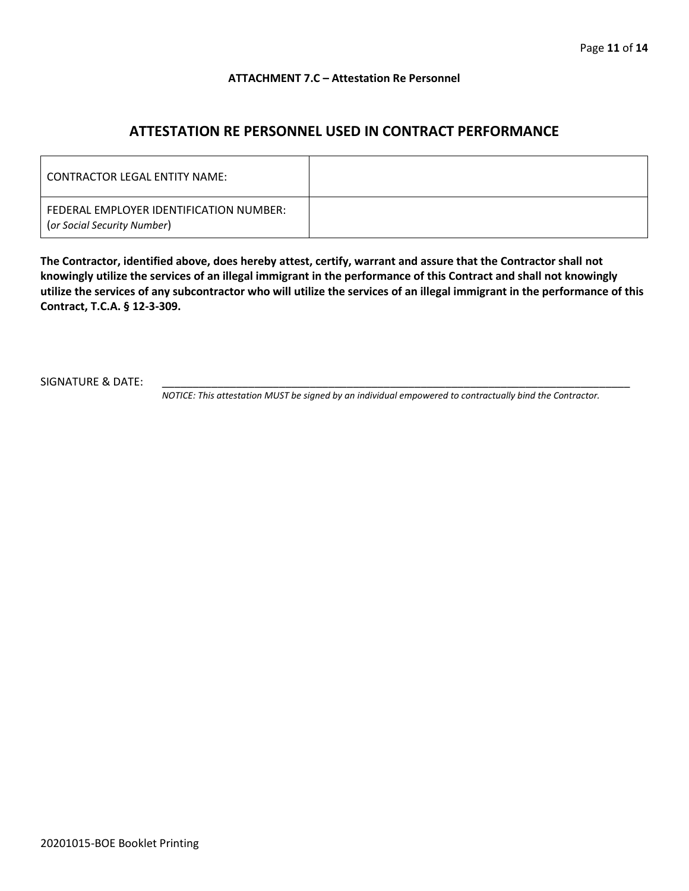#### **ATTACHMENT 7.C – Attestation Re Personnel**

## **ATTESTATION RE PERSONNEL USED IN CONTRACT PERFORMANCE**

| CONTRACTOR LEGAL ENTITY NAME:                                          |  |
|------------------------------------------------------------------------|--|
| FEDERAL EMPLOYER IDENTIFICATION NUMBER:<br>(or Social Security Number) |  |

**The Contractor, identified above, does hereby attest, certify, warrant and assure that the Contractor shall not knowingly utilize the services of an illegal immigrant in the performance of this Contract and shall not knowingly utilize the services of any subcontractor who will utilize the services of an illegal immigrant in the performance of this Contract, T.C.A. § 12-3-309.**

SIGNATURE & DATE:

*NOTICE: This attestation MUST be signed by an individual empowered to contractually bind the Contractor.*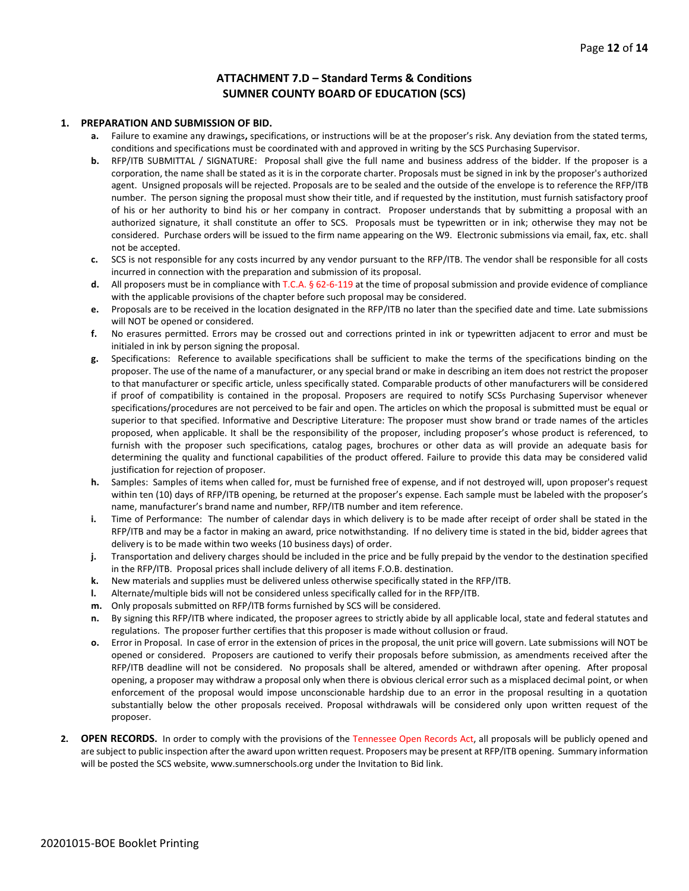#### **ATTACHMENT 7.D – Standard Terms & Conditions SUMNER COUNTY BOARD OF EDUCATION (SCS)**

#### **1. PREPARATION AND SUBMISSION OF BID.**

- **a.** Failure to examine any drawings**,** specifications, or instructions will be at the proposer's risk. Any deviation from the stated terms, conditions and specifications must be coordinated with and approved in writing by the SCS Purchasing Supervisor.
- **b.** RFP/ITB SUBMITTAL / SIGNATURE: Proposal shall give the full name and business address of the bidder. If the proposer is a corporation, the name shall be stated as it is in the corporate charter. Proposals must be signed in ink by the proposer's authorized agent. Unsigned proposals will be rejected. Proposals are to be sealed and the outside of the envelope is to reference the RFP/ITB number. The person signing the proposal must show their title, and if requested by the institution, must furnish satisfactory proof of his or her authority to bind his or her company in contract. Proposer understands that by submitting a proposal with an authorized signature, it shall constitute an offer to SCS. Proposals must be typewritten or in ink; otherwise they may not be considered. Purchase orders will be issued to the firm name appearing on the W9. Electronic submissions via email, fax, etc. shall not be accepted.
- **c.** SCS is not responsible for any costs incurred by any vendor pursuant to the RFP/ITB. The vendor shall be responsible for all costs incurred in connection with the preparation and submission of its proposal.
- **d.** All proposers must be in compliance with T.C.A. § 62-6-119 at the time of proposal submission and provide evidence of compliance with the applicable provisions of the chapter before such proposal may be considered.
- **e.** Proposals are to be received in the location designated in the RFP/ITB no later than the specified date and time. Late submissions will NOT be opened or considered.
- **f.** No erasures permitted. Errors may be crossed out and corrections printed in ink or typewritten adjacent to error and must be initialed in ink by person signing the proposal.
- **g.** Specifications: Reference to available specifications shall be sufficient to make the terms of the specifications binding on the proposer. The use of the name of a manufacturer, or any special brand or make in describing an item does not restrict the proposer to that manufacturer or specific article, unless specifically stated. Comparable products of other manufacturers will be considered if proof of compatibility is contained in the proposal. Proposers are required to notify SCSs Purchasing Supervisor whenever specifications/procedures are not perceived to be fair and open. The articles on which the proposal is submitted must be equal or superior to that specified. Informative and Descriptive Literature: The proposer must show brand or trade names of the articles proposed, when applicable. It shall be the responsibility of the proposer, including proposer's whose product is referenced, to furnish with the proposer such specifications, catalog pages, brochures or other data as will provide an adequate basis for determining the quality and functional capabilities of the product offered. Failure to provide this data may be considered valid justification for rejection of proposer.
- **h.** Samples: Samples of items when called for, must be furnished free of expense, and if not destroyed will, upon proposer's request within ten (10) days of RFP/ITB opening, be returned at the proposer's expense. Each sample must be labeled with the proposer's name, manufacturer's brand name and number, RFP/ITB number and item reference.
- **i.** Time of Performance: The number of calendar days in which delivery is to be made after receipt of order shall be stated in the RFP/ITB and may be a factor in making an award, price notwithstanding. If no delivery time is stated in the bid, bidder agrees that delivery is to be made within two weeks (10 business days) of order.
- **j.** Transportation and delivery charges should be included in the price and be fully prepaid by the vendor to the destination specified in the RFP/ITB. Proposal prices shall include delivery of all items F.O.B. destination.
- **k.** New materials and supplies must be delivered unless otherwise specifically stated in the RFP/ITB.
- **l.** Alternate/multiple bids will not be considered unless specifically called for in the RFP/ITB.
- **m.** Only proposals submitted on RFP/ITB forms furnished by SCS will be considered.
- **n.** By signing this RFP/ITB where indicated, the proposer agrees to strictly abide by all applicable local, state and federal statutes and regulations. The proposer further certifies that this proposer is made without collusion or fraud.
- **o.** Error in Proposal. In case of error in the extension of prices in the proposal, the unit price will govern. Late submissions will NOT be opened or considered. Proposers are cautioned to verify their proposals before submission, as amendments received after the RFP/ITB deadline will not be considered. No proposals shall be altered, amended or withdrawn after opening. After proposal opening, a proposer may withdraw a proposal only when there is obvious clerical error such as a misplaced decimal point, or when enforcement of the proposal would impose unconscionable hardship due to an error in the proposal resulting in a quotation substantially below the other proposals received. Proposal withdrawals will be considered only upon written request of the proposer.
- **2. OPEN RECORDS.** In order to comply with the provisions of the Tennessee Open Records Act, all proposals will be publicly opened and are subject to public inspection after the award upon written request. Proposers may be present at RFP/ITB opening. Summary information will be posted the SCS website, www.sumnerschools.org under the Invitation to Bid link.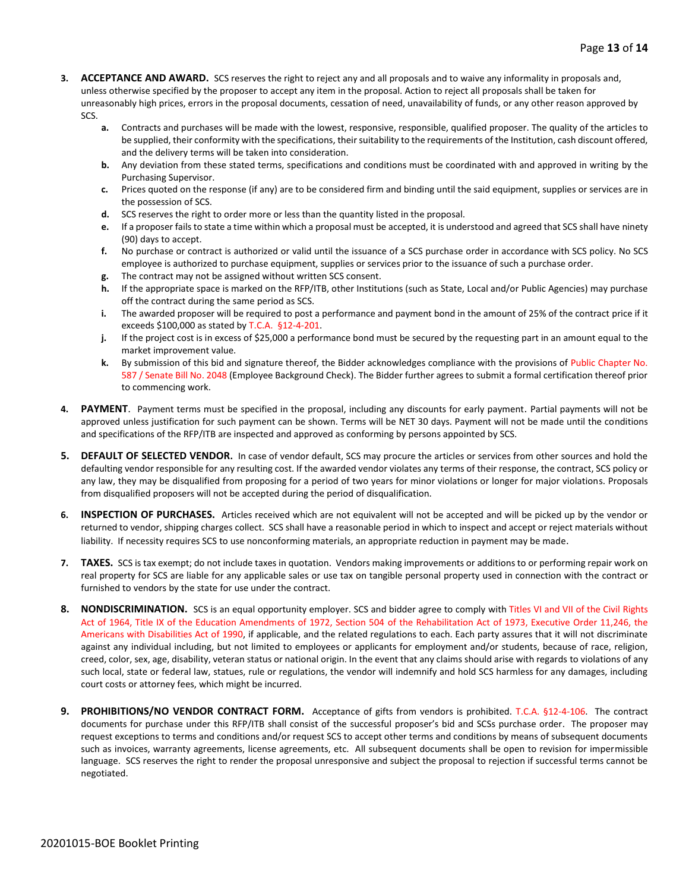- **3. ACCEPTANCE AND AWARD.** SCS reserves the right to reject any and all proposals and to waive any informality in proposals and, unless otherwise specified by the proposer to accept any item in the proposal. Action to reject all proposals shall be taken for unreasonably high prices, errors in the proposal documents, cessation of need, unavailability of funds, or any other reason approved by SCS.
	- **a.** Contracts and purchases will be made with the lowest, responsive, responsible, qualified proposer. The quality of the articles to be supplied, their conformity with the specifications, their suitability to the requirements of the Institution, cash discount offered, and the delivery terms will be taken into consideration.
	- **b.** Any deviation from these stated terms, specifications and conditions must be coordinated with and approved in writing by the Purchasing Supervisor.
	- **c.** Prices quoted on the response (if any) are to be considered firm and binding until the said equipment, supplies or services are in the possession of SCS.
	- **d.** SCS reserves the right to order more or less than the quantity listed in the proposal.
	- **e.** If a proposer fails to state a time within which a proposal must be accepted, it is understood and agreed that SCS shall have ninety (90) days to accept.
	- **f.** No purchase or contract is authorized or valid until the issuance of a SCS purchase order in accordance with SCS policy. No SCS employee is authorized to purchase equipment, supplies or services prior to the issuance of such a purchase order.
	- **g.** The contract may not be assigned without written SCS consent.
	- **h.** If the appropriate space is marked on the RFP/ITB, other Institutions (such as State, Local and/or Public Agencies) may purchase off the contract during the same period as SCS.
	- **i.** The awarded proposer will be required to post a performance and payment bond in the amount of 25% of the contract price if it exceeds \$100,000 as stated by T.C.A. §12-4-201.
	- **j.** If the project cost is in excess of \$25,000 a performance bond must be secured by the requesting part in an amount equal to the market improvement value.
	- **k.** By submission of this bid and signature thereof, the Bidder acknowledges compliance with the provisions of Public Chapter No. 587 / Senate Bill No. 2048 (Employee Background Check). The Bidder further agrees to submit a formal certification thereof prior to commencing work.
- PAYMENT. Payment terms must be specified in the proposal, including any discounts for early payment. Partial payments will not be approved unless justification for such payment can be shown. Terms will be NET 30 days. Payment will not be made until the conditions and specifications of the RFP/ITB are inspected and approved as conforming by persons appointed by SCS.
- **5. DEFAULT OF SELECTED VENDOR.** In case of vendor default, SCS may procure the articles or services from other sources and hold the defaulting vendor responsible for any resulting cost. If the awarded vendor violates any terms of their response, the contract, SCS policy or any law, they may be disqualified from proposing for a period of two years for minor violations or longer for major violations. Proposals from disqualified proposers will not be accepted during the period of disqualification.
- **6. INSPECTION OF PURCHASES.** Articles received which are not equivalent will not be accepted and will be picked up by the vendor or returned to vendor, shipping charges collect. SCS shall have a reasonable period in which to inspect and accept or reject materials without liability. If necessity requires SCS to use nonconforming materials, an appropriate reduction in payment may be made.
- **7. TAXES.** SCS is tax exempt; do not include taxes in quotation. Vendors making improvements or additions to or performing repair work on real property for SCS are liable for any applicable sales or use tax on tangible personal property used in connection with the contract or furnished to vendors by the state for use under the contract.
- **8. NONDISCRIMINATION.** SCS is an equal opportunity employer. SCS and bidder agree to comply with Titles VI and VII of the Civil Rights Act of 1964, Title IX of the Education Amendments of 1972, Section 504 of the Rehabilitation Act of 1973, Executive Order 11,246, the Americans with Disabilities Act of 1990, if applicable, and the related regulations to each. Each party assures that it will not discriminate against any individual including, but not limited to employees or applicants for employment and/or students, because of race, religion, creed, color, sex, age, disability, veteran status or national origin. In the event that any claims should arise with regards to violations of any such local, state or federal law, statues, rule or regulations, the vendor will indemnify and hold SCS harmless for any damages, including court costs or attorney fees, which might be incurred.
- **9. PROHIBITIONS/NO VENDOR CONTRACT FORM.** Acceptance of gifts from vendors is prohibited. T.C.A. §12-4-106. The contract documents for purchase under this RFP/ITB shall consist of the successful proposer's bid and SCSs purchase order. The proposer may request exceptions to terms and conditions and/or request SCS to accept other terms and conditions by means of subsequent documents such as invoices, warranty agreements, license agreements, etc. All subsequent documents shall be open to revision for impermissible language. SCS reserves the right to render the proposal unresponsive and subject the proposal to rejection if successful terms cannot be negotiated.